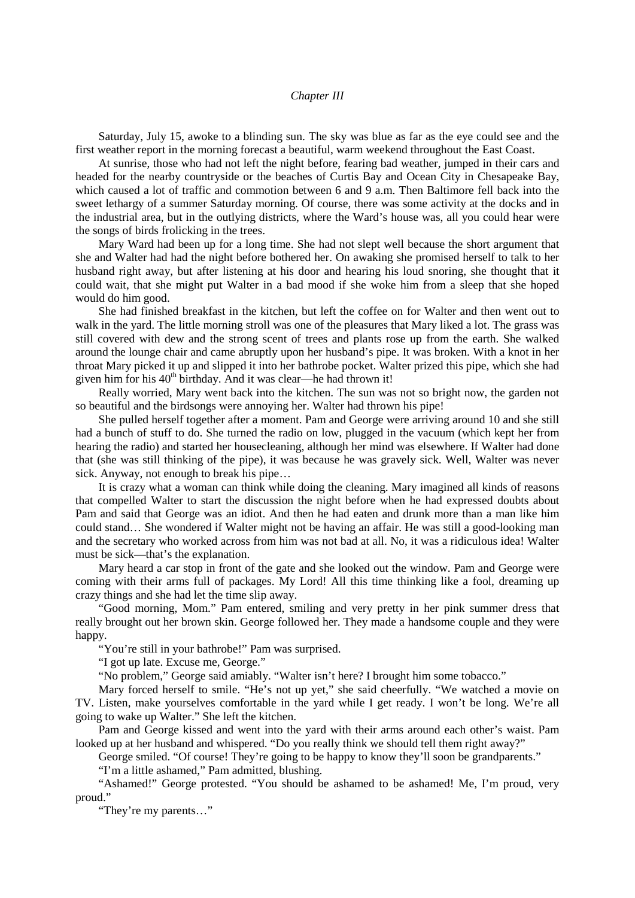## *Chapter III*

Saturday, July 15, awoke to a blinding sun. The sky was blue as far as the eye could see and the first weather report in the morning forecast a beautiful, warm weekend throughout the East Coast.

At sunrise, those who had not left the night before, fearing bad weather, jumped in their cars and headed for the nearby countryside or the beaches of Curtis Bay and Ocean City in Chesapeake Bay, which caused a lot of traffic and commotion between 6 and 9 a.m. Then Baltimore fell back into the sweet lethargy of a summer Saturday morning. Of course, there was some activity at the docks and in the industrial area, but in the outlying districts, where the Ward's house was, all you could hear were the songs of birds frolicking in the trees.

Mary Ward had been up for a long time. She had not slept well because the short argument that she and Walter had had the night before bothered her. On awaking she promised herself to talk to her husband right away, but after listening at his door and hearing his loud snoring, she thought that it could wait, that she might put Walter in a bad mood if she woke him from a sleep that she hoped would do him good.

She had finished breakfast in the kitchen, but left the coffee on for Walter and then went out to walk in the yard. The little morning stroll was one of the pleasures that Mary liked a lot. The grass was still covered with dew and the strong scent of trees and plants rose up from the earth. She walked around the lounge chair and came abruptly upon her husband's pipe. It was broken. With a knot in her throat Mary picked it up and slipped it into her bathrobe pocket. Walter prized this pipe, which she had given him for his 40<sup>th</sup> birthday. And it was clear—he had thrown it!

Really worried, Mary went back into the kitchen. The sun was not so bright now, the garden not so beautiful and the birdsongs were annoying her. Walter had thrown his pipe!

She pulled herself together after a moment. Pam and George were arriving around 10 and she still had a bunch of stuff to do. She turned the radio on low, plugged in the vacuum (which kept her from hearing the radio) and started her housecleaning, although her mind was elsewhere. If Walter had done that (she was still thinking of the pipe), it was because he was gravely sick. Well, Walter was never sick. Anyway, not enough to break his pipe…

It is crazy what a woman can think while doing the cleaning. Mary imagined all kinds of reasons that compelled Walter to start the discussion the night before when he had expressed doubts about Pam and said that George was an idiot. And then he had eaten and drunk more than a man like him could stand… She wondered if Walter might not be having an affair. He was still a good-looking man and the secretary who worked across from him was not bad at all. No, it was a ridiculous idea! Walter must be sick—that's the explanation.

Mary heard a car stop in front of the gate and she looked out the window. Pam and George were coming with their arms full of packages. My Lord! All this time thinking like a fool, dreaming up crazy things and she had let the time slip away.

"Good morning, Mom." Pam entered, smiling and very pretty in her pink summer dress that really brought out her brown skin. George followed her. They made a handsome couple and they were happy.

"You're still in your bathrobe!" Pam was surprised.

"I got up late. Excuse me, George."

"No problem," George said amiably. "Walter isn't here? I brought him some tobacco."

Mary forced herself to smile. "He's not up yet," she said cheerfully. "We watched a movie on TV. Listen, make yourselves comfortable in the yard while I get ready. I won't be long. We're all going to wake up Walter." She left the kitchen.

Pam and George kissed and went into the yard with their arms around each other's waist. Pam looked up at her husband and whispered. "Do you really think we should tell them right away?"

George smiled. "Of course! They're going to be happy to know they'll soon be grandparents."

"I'm a little ashamed," Pam admitted, blushing.

"Ashamed!" George protested. "You should be ashamed to be ashamed! Me, I'm proud, very proud."

"They're my parents…"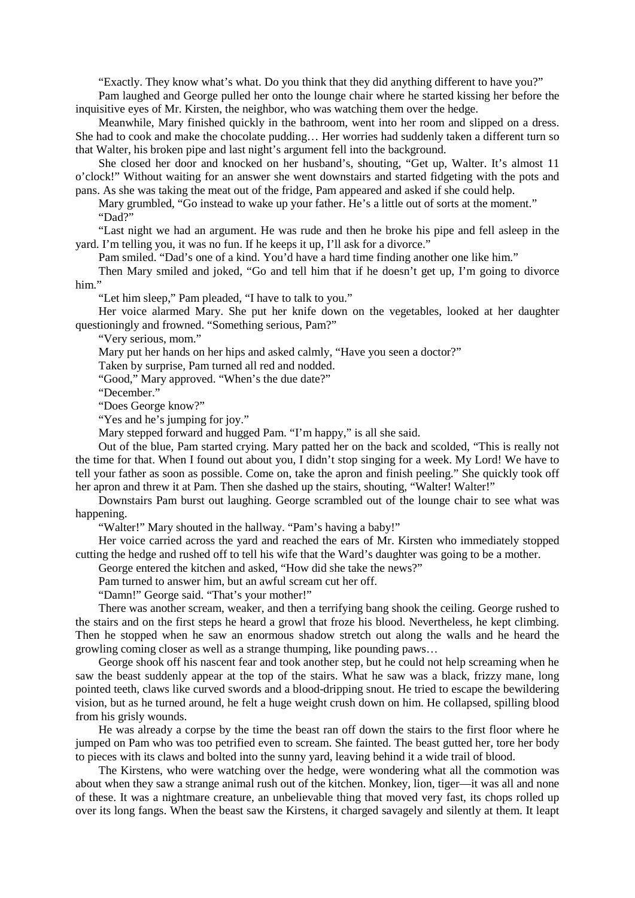"Exactly. They know what's what. Do you think that they did anything different to have you?"

Pam laughed and George pulled her onto the lounge chair where he started kissing her before the inquisitive eyes of Mr. Kirsten, the neighbor, who was watching them over the hedge.

Meanwhile, Mary finished quickly in the bathroom, went into her room and slipped on a dress. She had to cook and make the chocolate pudding… Her worries had suddenly taken a different turn so that Walter, his broken pipe and last night's argument fell into the background.

She closed her door and knocked on her husband's, shouting, "Get up, Walter. It's almost 11 o'clock!" Without waiting for an answer she went downstairs and started fidgeting with the pots and pans. As she was taking the meat out of the fridge, Pam appeared and asked if she could help.

Mary grumbled, "Go instead to wake up your father. He's a little out of sorts at the moment." "Dad?"

"Last night we had an argument. He was rude and then he broke his pipe and fell asleep in the yard. I'm telling you, it was no fun. If he keeps it up, I'll ask for a divorce."

Pam smiled. "Dad's one of a kind. You'd have a hard time finding another one like him."

Then Mary smiled and joked, "Go and tell him that if he doesn't get up, I'm going to divorce him."

"Let him sleep," Pam pleaded, "I have to talk to you."

Her voice alarmed Mary. She put her knife down on the vegetables, looked at her daughter questioningly and frowned. "Something serious, Pam?"

"Very serious, mom."

Mary put her hands on her hips and asked calmly, "Have you seen a doctor?"

Taken by surprise, Pam turned all red and nodded.

"Good," Mary approved. "When's the due date?"

"December."

"Does George know?"

"Yes and he's jumping for joy."

Mary stepped forward and hugged Pam. "I'm happy," is all she said.

Out of the blue, Pam started crying. Mary patted her on the back and scolded, "This is really not the time for that. When I found out about you, I didn't stop singing for a week. My Lord! We have to tell your father as soon as possible. Come on, take the apron and finish peeling." She quickly took off her apron and threw it at Pam. Then she dashed up the stairs, shouting, "Walter! Walter!"

Downstairs Pam burst out laughing. George scrambled out of the lounge chair to see what was happening.

"Walter!" Mary shouted in the hallway. "Pam's having a baby!"

Her voice carried across the yard and reached the ears of Mr. Kirsten who immediately stopped cutting the hedge and rushed off to tell his wife that the Ward's daughter was going to be a mother.

George entered the kitchen and asked, "How did she take the news?"

Pam turned to answer him, but an awful scream cut her off.

"Damn!" George said. "That's your mother!"

There was another scream, weaker, and then a terrifying bang shook the ceiling. George rushed to the stairs and on the first steps he heard a growl that froze his blood. Nevertheless, he kept climbing. Then he stopped when he saw an enormous shadow stretch out along the walls and he heard the growling coming closer as well as a strange thumping, like pounding paws…

George shook off his nascent fear and took another step, but he could not help screaming when he saw the beast suddenly appear at the top of the stairs. What he saw was a black, frizzy mane, long pointed teeth, claws like curved swords and a blood-dripping snout. He tried to escape the bewildering vision, but as he turned around, he felt a huge weight crush down on him. He collapsed, spilling blood from his grisly wounds.

He was already a corpse by the time the beast ran off down the stairs to the first floor where he jumped on Pam who was too petrified even to scream. She fainted. The beast gutted her, tore her body to pieces with its claws and bolted into the sunny yard, leaving behind it a wide trail of blood.

The Kirstens, who were watching over the hedge, were wondering what all the commotion was about when they saw a strange animal rush out of the kitchen. Monkey, lion, tiger—it was all and none of these. It was a nightmare creature, an unbelievable thing that moved very fast, its chops rolled up over its long fangs. When the beast saw the Kirstens, it charged savagely and silently at them. It leapt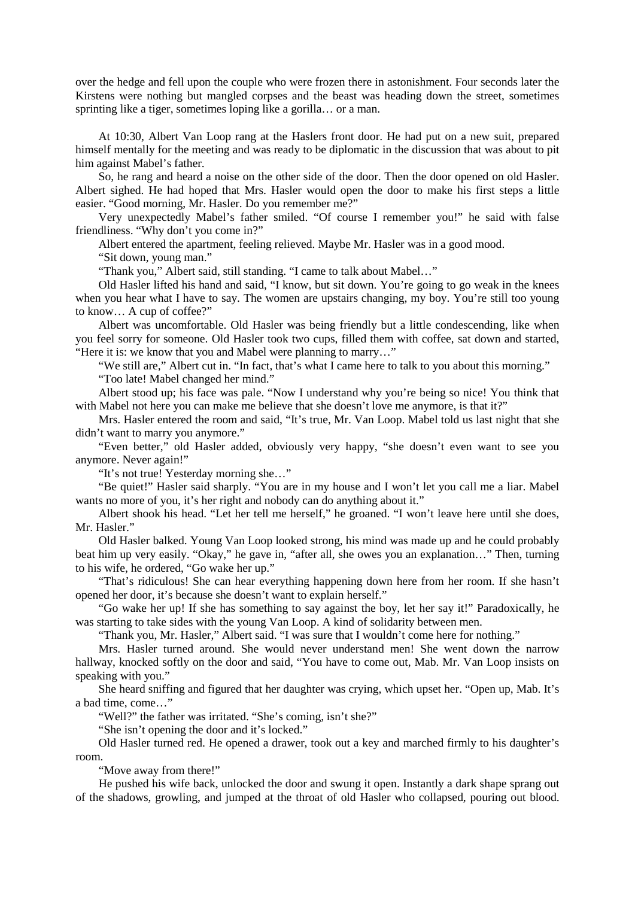over the hedge and fell upon the couple who were frozen there in astonishment. Four seconds later the Kirstens were nothing but mangled corpses and the beast was heading down the street, sometimes sprinting like a tiger, sometimes loping like a gorilla... or a man.

At 10:30, Albert Van Loop rang at the Haslers front door. He had put on a new suit, prepared himself mentally for the meeting and was ready to be diplomatic in the discussion that was about to pit him against Mabel's father.

So, he rang and heard a noise on the other side of the door. Then the door opened on old Hasler. Albert sighed. He had hoped that Mrs. Hasler would open the door to make his first steps a little easier. "Good morning, Mr. Hasler. Do you remember me?"

Very unexpectedly Mabel's father smiled. "Of course I remember you!" he said with false friendliness. "Why don't you come in?"

Albert entered the apartment, feeling relieved. Maybe Mr. Hasler was in a good mood.

"Sit down, young man."

"Thank you," Albert said, still standing. "I came to talk about Mabel…"

Old Hasler lifted his hand and said, "I know, but sit down. You're going to go weak in the knees when you hear what I have to say. The women are upstairs changing, my boy. You're still too young to know… A cup of coffee?"

Albert was uncomfortable. Old Hasler was being friendly but a little condescending, like when you feel sorry for someone. Old Hasler took two cups, filled them with coffee, sat down and started, "Here it is: we know that you and Mabel were planning to marry…"

"We still are," Albert cut in. "In fact, that's what I came here to talk to you about this morning."

"Too late! Mabel changed her mind."

Albert stood up; his face was pale. "Now I understand why you're being so nice! You think that with Mabel not here you can make me believe that she doesn't love me anymore, is that it?"

Mrs. Hasler entered the room and said, "It's true, Mr. Van Loop. Mabel told us last night that she didn't want to marry you anymore."

"Even better," old Hasler added, obviously very happy, "she doesn't even want to see you anymore. Never again!"

"It's not true! Yesterday morning she…"

"Be quiet!" Hasler said sharply. "You are in my house and I won't let you call me a liar. Mabel wants no more of you, it's her right and nobody can do anything about it."

Albert shook his head. "Let her tell me herself," he groaned. "I won't leave here until she does, Mr. Hasler."

Old Hasler balked. Young Van Loop looked strong, his mind was made up and he could probably beat him up very easily. "Okay," he gave in, "after all, she owes you an explanation…" Then, turning to his wife, he ordered, "Go wake her up."

"That's ridiculous! She can hear everything happening down here from her room. If she hasn't opened her door, it's because she doesn't want to explain herself."

"Go wake her up! If she has something to say against the boy, let her say it!" Paradoxically, he was starting to take sides with the young Van Loop. A kind of solidarity between men.

"Thank you, Mr. Hasler," Albert said. "I was sure that I wouldn't come here for nothing."

Mrs. Hasler turned around. She would never understand men! She went down the narrow hallway, knocked softly on the door and said, "You have to come out, Mab. Mr. Van Loop insists on speaking with you."

She heard sniffing and figured that her daughter was crying, which upset her. "Open up, Mab. It's a bad time, come…"

"Well?" the father was irritated. "She's coming, isn't she?"

"She isn't opening the door and it's locked."

Old Hasler turned red. He opened a drawer, took out a key and marched firmly to his daughter's room.

"Move away from there!"

He pushed his wife back, unlocked the door and swung it open. Instantly a dark shape sprang out of the shadows, growling, and jumped at the throat of old Hasler who collapsed, pouring out blood.